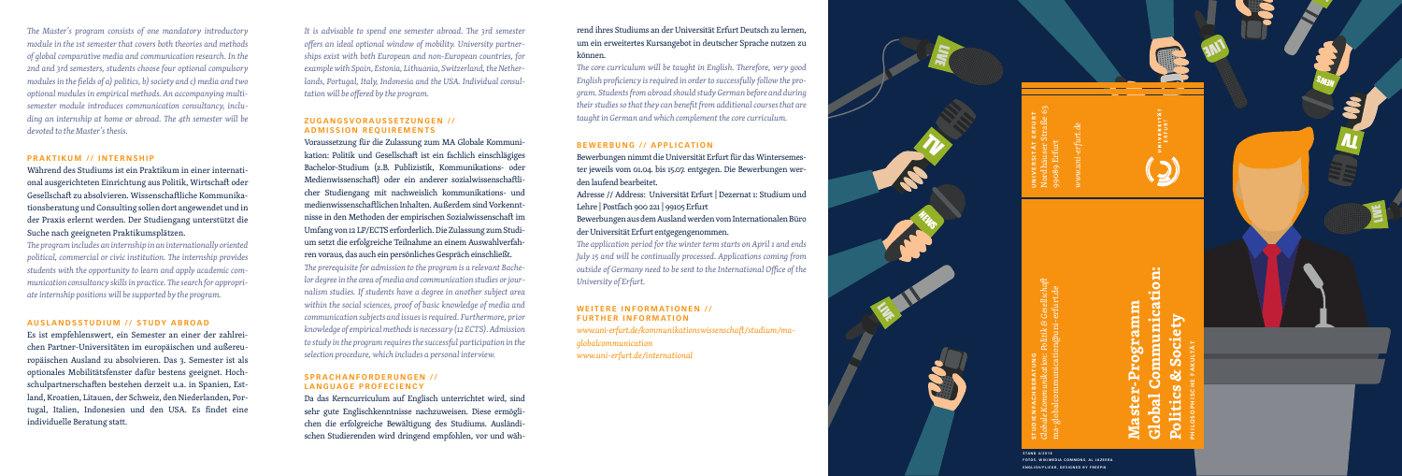

**ENGLISH/FLICKR, DESIGNED BY FREERATUNG**<br>**ENGLISH/FLICKR, DESIGNED BY FREEPICHBERATURG**<br>and a-globalcommunication@uni-erfurt.de<br>ENGLISH/FLICKR, DESIGNED BY FREEME<br>ANGLISH/FLICKR, DESIGNED BY FREEME

*The Master's program consists of one mandatory introductory module in the 1st semester that covers both theories and methods of global comparative media and communication research. In the 2nd and 3rd semesters, students choose four optional compulsory modules in the fields of a) politics, b) society and c) media and two optional modules in empirical methods. An accompanying multisemester module introduces communication consultancy, including an internship at home or abroad. The 4th semester will be devoted to the Master's thesis.* 

## **PRAKTIKUM // INTERNSHIP**

Während des Studiums ist ein Praktikum in einer internati onal ausgerichteten Einrichtung aus Politik, Wirtschaft oder Gesellschaft zu absolvieren. Wissenschaftliche Kommunika tionsberatung und Consulting sollen dort angewendet und in der Praxis erlernt werden. Der Studiengang unterstützt die Suche nach geeigneten Praktikumsplätzen.

*The program includes an internship in an internationally oriented political, commercial or civic institution. The internship provides students with the opportunity to learn and apply academic com munication consultancy skills in practice. The search for appropri ate internship positions will be supported by the program.* 

# **AUSLANDSSTUDIUM // STUDY ABROAD**

Es ist empfehlenswert, ein Semester an einer der zahlrei chen Partner-Universitäten im europäischen und außereu ropäischen Ausland zu absolvieren. Das 3. Semester ist als optionales Mobilitätsfenster dafür bestens geeignet. Hoch schulpartnerschaften bestehen derzeit u.a. in Spanien, Est land, Kroatien, Litauen, der Schweiz, den Niederlanden, Por tugal, Italien, Indonesien und den USA. Es findet eine individuelle Beratung statt.

*It is advisable to spend one semester abroad. The 3rd semester offers an ideal optional window of mobility. University partner ships exist with both European and non-European countries, for example with Spain, Estonia, Lithuania, Switzerland, the Nether lands, Portugal, Italy, Indonesia and the USA. Individual consul tation will be offered by the program.* 

## **ZUGANGSVORAUSSETZUNGEN // ADMISSION REQUIREMENTS**

### **WEITERE INFORMATIONEN // FURTHER INFORMATION**

**Global Communication:**  munication: mure.zgo.r **Master-Programm Politics & Society** ety Õ  $\mathbf C$ 

Voraussetzung für die Zulassung zum MA Globale Kommuni kation: Politik und Gesellschaft ist ein fachlich einschlägiges Bachelor-Studium (z.B. Publizistik, Kommunikations- oder Medienwissenschaft) oder ein anderer sozialwissenschaftli cher Studiengang mit nachweislich kommunikations- und medienwissenschaftlichen Inhalten. Außerdem sind Vorkennt nisse in den Methoden der empirischen Sozialwissenschaft im Umfang von 12 LP/ECTS erforderlich. Die Zulassung zum Studi um setzt die erfolgreiche Teilnahme an einem Auswahlverfah ren voraus, das auch ein persönliches Gespräch einschließt. *The prerequisite for admission to the program is a relevant Bache lor degree in the area of media and communication studies or jour nalism studies. If students have a degree in another subject area within the social sciences, proof of basic knowledge of media and communication subjects and issues is required. Furthermore, prior knowledge of empirical methods is necessary (12 ECTS). Admission to study in the program requires the successful participation in the selection procedure, which includes a personal interview.* 

## **S P R A C H A N F O R D E R U N G E N / / LANGUAGE PROFECIENCY**

Da das Kerncurriculum auf Englisch unterrichtet wird, sind sehr gute Englischkenntnisse nachzuweisen. Diese ermögli chen die erfolgreiche Bewältigung des Studiums. Ausländi schen Studierenden wird dringend empfohlen, vor und wäh -

rend ihres Studiums an der Universität Erfurt Deutsch zu lernen, um ein erweitertes Kursangebot in deutscher Sprache nutzen zu können.

*The core curriculum will be taught in English. Therefore, very good English proficiency is required in order to successfully follow the pro gram. Students from abroad should study German before and during their studies so that they can benefit from additional courses that are taught in German and which complement the core curriculum.* 

## **BEWERBUNG // APPLICATION**

Bewerbungen nimmt die Universität Erfurt für das Wintersemes ter jeweils vom 01.04. bis 15.07. entgegen. Die Bewerbungen wer den laufend bearbeitet.

Adresse // Address: Universität Erfurt | Dezernat 1: Studium und Lehre | Postfach 900 221 | 99105 Erfurt

Bewerbungen aus dem Ausland werden vom Internationalen Büro der Universität Erfurt entgegengenommen.

*The application period for the winter term starts on April 1 and ends July 15 and will be continually processed. Applications coming from outside of Germany need to be sent to the International Office of the University of Erfurt.* 

*www.uni-erfurt.de/kommunikationswissenschaft/studium/maglobalcommunication www.uni-erfurt.de/international*

LIVE

**STAND 4/2018**

**FOTOS: WIKIMEDIA COMMONS, AL JAZEERA** 

**PHILOSOPHISCHE FAKULTÄT**

**UNIVERSITÄT ERFURT** Nordhäuser Straße 63 99089 Erfurt

*www.uni-erfurt.de*



**ANT** 

SM3N

LIVE.

**IT**